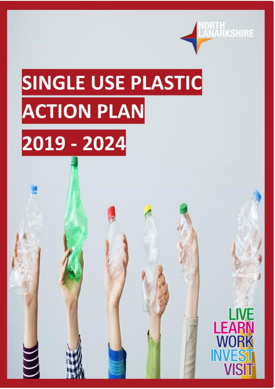

# SINGLE USE PLASTIC **ACTION PLAN**

## 2019 - 2024

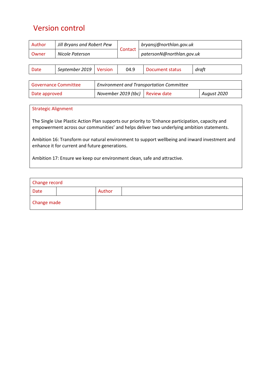## <span id="page-1-0"></span>Version control

| Author                      | Jill Bryans and Robert Pew<br>Nicole Paterson |                                                 | Contact             | bryansj@northlan.gov.uk   |  |             |
|-----------------------------|-----------------------------------------------|-------------------------------------------------|---------------------|---------------------------|--|-------------|
| Owner                       |                                               |                                                 |                     | patersonN@northlan.gov.uk |  |             |
|                             |                                               |                                                 |                     |                           |  |             |
| <b>Date</b>                 | September 2019                                | <b>Version</b>                                  | 04.9                | Document status           |  | draft       |
|                             |                                               |                                                 |                     |                           |  |             |
| <b>Governance Committee</b> |                                               | <b>Environment and Transportation Committee</b> |                     |                           |  |             |
| Date approved               |                                               |                                                 | November 2019 (tbc) | <b>Review date</b>        |  | August 2020 |
|                             |                                               |                                                 |                     |                           |  |             |

#### Strategic Alignment

The Single Use Plastic Action Plan supports our priority to 'Enhance participation, capacity and empowerment across our communities' and helps deliver two underlying ambition statements.

Ambition 16: Transform our natural environment to support wellbeing and inward investment and enhance it for current and future generations.

Ambition 17: Ensure we keep our environment clean, safe and attractive.

| Change record |  |        |  |  |
|---------------|--|--------|--|--|
| <b>Date</b>   |  | Author |  |  |
| Change made   |  |        |  |  |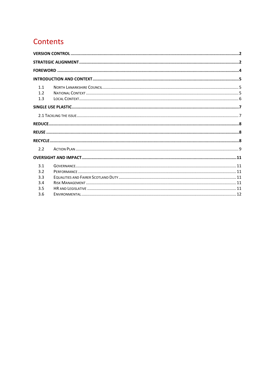## Contents

| 1.1<br>1 <sub>2</sub><br>1.3 |  |
|------------------------------|--|
|                              |  |
|                              |  |
|                              |  |
|                              |  |
|                              |  |
| $2.2^{\circ}$                |  |
|                              |  |
| 3.1<br>3.2<br>3.3<br>3.4     |  |
| 3.5<br>3.6                   |  |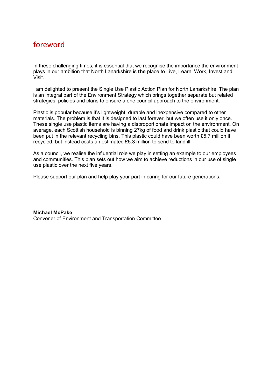## <span id="page-3-0"></span>foreword

In these challenging times, it is essential that we recognise the importance the environment plays in our ambition that North Lanarkshire is **the** place to Live, Learn, Work, Invest and Visit.

I am delighted to present the Single Use Plastic Action Plan for North Lanarkshire. The plan is an integral part of the Environment Strategy which brings together separate but related strategies, policies and plans to ensure a one council approach to the environment.

Plastic is popular because it's lightweight, durable and inexpensive compared to other materials. The problem is that it is designed to last forever, but we often use it only once. These single use plastic items are having a disproportionate impact on the environment. On average, each Scottish household is binning 27kg of food and drink plastic that could have been put in the relevant recycling bins. This plastic could have been worth £5.7 million if recycled, but instead costs an estimated £5.3 million to send to landfill.

As a council, we realise the influential role we play in setting an example to our employees and communities. This plan sets out how we aim to achieve reductions in our use of single use plastic over the next five years.

Please support our plan and help play your part in caring for our future generations.

**Michael McPake** Convener of Environment and Transportation Committee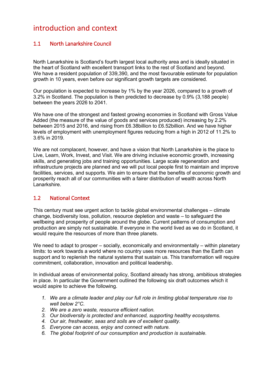### <span id="page-4-0"></span>introduction and context

#### <span id="page-4-1"></span>1.1 North Lanarkshire Council

North Lanarkshire is Scotland's fourth largest local authority area and is ideally situated in the heart of Scotland with excellent transport links to the rest of Scotland and beyond. We have a resident population of 339,390, and the most favourable estimate for population growth in 10 years, even before our significant growth targets are considered.

Our population is expected to increase by 1% by the year 2026, compared to a growth of 3.2% in Scotland. The population is then predicted to decrease by 0.9% (3,188 people) between the years 2026 to 2041.

We have one of the strongest and fastest growing economies in Scotland with Gross Value Added (the measure of the value of goods and services produced) increasing by 2.2% between 2015 and 2016, and rising from £6.38billion to £6.52billion. And we have higher levels of employment with unemployment figures reducing from a high in 2012 of 11.2% to 3.6% in 2019.

We are not complacent, however, and have a vision that North Lanarkshire is the place to Live, Learn, Work, Invest, and Visit. We are driving inclusive economic growth, increasing skills, and generating jobs and training opportunities. Large scale regeneration and infrastructure projects are planned and we will put local people first to maintain and improve facilities, services, and supports. We aim to ensure that the benefits of economic growth and prosperity reach all of our communities with a fairer distribution of wealth across North Lanarkshire.

#### <span id="page-4-2"></span>1.2 National Context

This century must see urgent action to tackle global environmental challenges – climate change, biodiversity loss, pollution, resource depletion and waste – to safeguard the wellbeing and prosperity of people around the globe. Current patterns of consumption and production are simply not sustainable. If everyone in the world lived as we do in Scotland, it would require the resources of more than three planets.

We need to adapt to prosper – socially, economically and environmentally – within planetary limits: to work towards a world where no country uses more resources than the Earth can support and to replenish the natural systems that sustain us. This transformation will require commitment, collaboration, innovation and political leadership.

In individual areas of environmental policy, Scotland already has strong, ambitious strategies in place. In particular the Government outlined the following six draft outcomes which it would aspire to achieve the following.

- *1. We are a climate leader and play our full role in limiting global temperature rise to well below 2°C.*
- *2. We are a zero waste, resource efficient nation.*
- *3. Our biodiversity is protected and enhanced, supporting healthy ecosystems.*
- *4. Our air, freshwater, seas and soils are of excellent quality.*
- *5. Everyone can access, enjoy and connect with nature.*
- *6. The global footprint of our consumption and production is sustainable.*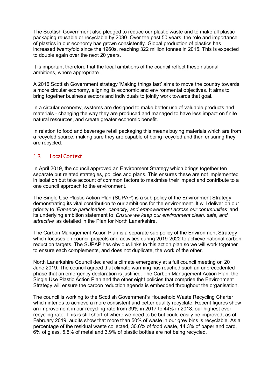The Scottish Government also pledged to reduce our plastic waste and to make all plastic packaging reusable or recyclable by 2030. Over the past 50 years, the role and importance of plastics in our economy has grown consistently. Global production of plastics has increased twentyfold since the 1960s, reaching 322 million tonnes in 2015. This is expected to double again over the next 20 years.

It is important therefore that the local ambitions of the council reflect these national ambitions, where appropriate.

A 2016 Scottish Government strategy 'Making things last' aims to move the country towards a more circular economy, aligning its economic and environmental objectives. It aims to bring together business sectors and individuals to jointly work towards that goal.

In a circular economy, systems are designed to make better use of valuable products and materials - changing the way they are produced and managed to have less impact on finite natural resources, and create greater economic benefit.

In relation to food and beverage retail packaging this means buying materials which are from a recycled source, making sure they are capable of being recycled and then ensuring they are recycled.

#### <span id="page-5-0"></span>1.3 Local Context

In April 2019, the council approved an Environment Strategy which brings together ten separate but related strategies, policies and plans. This ensures these are not implemented in isolation but take account of common factors to maximise their impact and contribute to a one council approach to the environment.

The Single Use Plastic Action Plan (SUPAP) is a sub policy of the Environment Strategy, demonstrating its vital contribution to our ambitions for the environment. It will deliver on our priority to '*Enhance participation, capacity, and empowerment across our communities'* and its underlying ambition statement to '*Ensure we keep our environment clean, safe, and attractive'* as detailed in the Plan for North Lanarkshire.

The Carbon Management Action Plan is a separate sub policy of the Environment Strategy which focuses on council projects and activities during 2019-2022 to achieve national carbon reduction targets. The SUPAP has obvious links to this action plan so we will work together to ensure each complements, and does not duplicate, the work of the other.

North Lanarkshire Council declared a climate emergency at a full council meeting on 20 June 2019. The council agreed that climate warming has reached such an unprecedented phase that an emergency declaration is justified. The Carbon Management Action Plan, the Single Use Plastic Action Plan and the other eight policies that comprise the Environment Strategy will ensure the carbon reduction agenda is embedded throughout the organisation.

The council is working to the Scottish Government's Household Waste Recycling Charter which intends to achieve a more consistent and better quality recyclate. Recent figures show an improvement in our recycling rate from 39% in 2017 to 44% in 2018, our highest ever recycling rate. This is still short of where we need to be but could easily be improved; as of February 2019, audits show that more than 50% of waste in our grey bins is recyclable. As a percentage of the residual waste collected, 30.6% of food waste, 14.3% of paper and card, 6% of glass, 5.5% of metal and 3.9% of plastic bottles are not being recycled.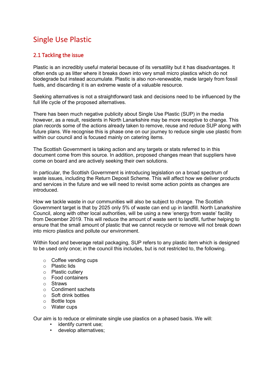## <span id="page-6-0"></span>Single Use Plastic

#### <span id="page-6-1"></span>2.1 Tackling the issue

Plastic is an incredibly useful material because of its versatility but it has disadvantages. It often ends up as litter where it breaks down into very small micro plastics which do not biodegrade but instead accumulate. Plastic is also non-renewable, made largely from fossil fuels, and discarding it is an extreme waste of a valuable resource.

Seeking alternatives is not a straightforward task and decisions need to be influenced by the full life cycle of the proposed alternatives.

There has been much negative publicity about Single Use Plastic (SUP) in the media however, as a result, residents in North Lanarkshire may be more receptive to change. This plan records some of the actions already taken to remove, reuse and reduce SUP along with future plans. We recognise this is phase one on our journey to reduce single use plastic from within our council and is focused mainly on catering items.

The Scottish Government is taking action and any targets or stats referred to in this document come from this source. In addition, proposed changes mean that suppliers have come on board and are actively seeking their own solutions.

In particular, the Scottish Government is introducing legislation on a broad spectrum of waste issues, including the Return Deposit Scheme. This will affect how we deliver products and services in the future and we will need to revisit some action points as changes are introduced.

How we tackle waste in our communities will also be subject to change. The Scottish Government target is that by 2025 only 5% of waste can end up in landfill. North Lanarkshire Council, along with other local authorities, will be using a new 'energy from waste' facility from December 2019. This will reduce the amount of waste sent to landfill, further helping to ensure that the small amount of plastic that we cannot recycle or remove will not break down into micro plastics and pollute our environment.

Within food and beverage retail packaging, SUP refers to any plastic item which is designed to be used only once; in the council this includes, but is not restricted to, the following.

- o Coffee vending cups
- o Plastic lids
- o Plastic cutlery
- o Food containers
- o Straws
- o Condiment sachets
- o Soft drink bottles
- o Bottle tops
- o Water cups

Our aim is to reduce or eliminate single use plastics on a phased basis. We will:

- identify current use;
- develop alternatives;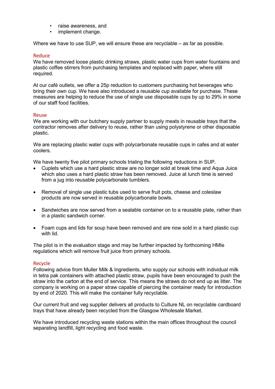- raise awareness, and
- implement change.

Where we have to use SUP, we will ensure these are recyclable – as far as possible.

#### <span id="page-7-0"></span>Reduce

We have removed loose plastic drinking straws, plastic water cups from water fountains and plastic coffee stirrers from purchasing templates and replaced with paper, where still required.

At our café outlets, we offer a 25p reduction to customers purchasing hot beverages who bring their own cup. We have also introduced a reusable cup available for purchase. These measures are helping to reduce the use of single use disposable cups by up to 29% in some of our staff food facilities.

#### <span id="page-7-1"></span>Reuse

We are working with our butchery supply partner to supply meats in reusable trays that the contractor removes after delivery to reuse, rather than using polystyrene or other disposable plastic.

We are replacing plastic water cups with polycarbonate reusable cups in cafes and at water coolers.

We have twenty five pilot primary schools trialing the following reductions in SUP.

- Cuplets which use a hard plastic straw are no longer sold at break time and Aqua Juice which also uses a hard plastic straw has been removed. Juice at lunch time is served from a jug into reusable polycarbonate tumblers.
- Removal of single use plastic tubs used to serve fruit pots, cheese and coleslaw products are now served in reusable polycarbonate bowls.
- Sandwiches are now served from a sealable container on to a reusable plate, rather than in a plastic sandwich corner.
- Foam cups and lids for soup have been removed and are now sold in a hard plastic cup with lid.

The pilot is in the evaluation stage and may be further impacted by forthcoming HMIe regulations which will remove fruit juice from primary schools.

#### <span id="page-7-2"></span>Recycle

Following advice from Muller Milk & Ingredients, who supply our schools with individual milk in tetra pak containers with attached plastic straw, pupils have been encouraged to push the straw into the carton at the end of service. This means the straws do not end up as litter. The company is working on a paper straw capable of piercing the container ready for introduction by end of 2020. This will make the container fully recyclable.

Our current fruit and veg supplier delivers all products to Culture NL on recyclable cardboard trays that have already been recycled from the Glasgow Wholesale Market.

We have introduced recycling waste stations within the main offices throughout the council separating landfill, light recycling and food waste.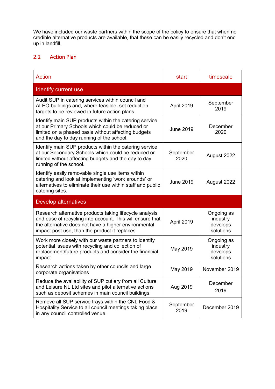We have included our waste partners within the scope of the policy to ensure that when no credible alternative products are available, that these can be easily recycled and don't end up in landfill.

#### <span id="page-8-0"></span>2.2 Action Plan

| Action                                                                                                                                                                                                                         | start             | timescale                                       |
|--------------------------------------------------------------------------------------------------------------------------------------------------------------------------------------------------------------------------------|-------------------|-------------------------------------------------|
| <b>Identify current use</b>                                                                                                                                                                                                    |                   |                                                 |
| Audit SUP in catering services within council and<br>ALEO buildings and, where feasible, set reduction<br>targets to be reviewed in future action plans.                                                                       | April 2019        | September<br>2019                               |
| Identify main SUP products within the catering service<br>at our Primary Schools which could be reduced or<br>limited on a phased basis without affecting budgets<br>and the day to day running of the school.                 | <b>June 2019</b>  | December<br>2020                                |
| Identify main SUP products within the catering service<br>at our Secondary Schools which could be reduced or<br>limited without affecting budgets and the day to day<br>running of the school.                                 | September<br>2020 | August 2022                                     |
| Identify easily removable single use items within<br>catering and look at implementing 'work arounds' or<br>alternatives to eliminate their use within staff and public<br>catering sites.                                     | <b>June 2019</b>  | August 2022                                     |
| <b>Develop alternatives</b>                                                                                                                                                                                                    |                   |                                                 |
| Research alternative products taking lifecycle analysis<br>and ease of recycling into account. This will ensure that<br>the alternative does not have a higher environmental<br>impact post use, than the product it replaces. | April 2019        | Ongoing as<br>industry<br>develops<br>solutions |
| Work more closely with our waste partners to identify<br>potential issues with recycling and collection of<br>replacement/future products and consider the financial<br>impact.                                                | May 2019          | Ongoing as<br>industry<br>develops<br>solutions |
| Research actions taken by other councils and large<br>corporate organisations                                                                                                                                                  | May 2019          | November 2019                                   |
| Reduce the availability of SUP cutlery from all Culture<br>and Leisure NL Ltd sites and pilot alternative actions<br>such as deposit schemes in main council buildings.                                                        | Aug 2019          | December<br>2019                                |
| Remove all SUP service trays within the CNL Food &<br>Hospitality Service to all council meetings taking place<br>in any council controlled venue.                                                                             | September<br>2019 | December 2019                                   |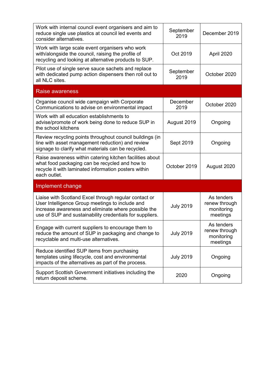| Work with internal council event organisers and aim to<br>reduce single use plastics at council led events and<br>consider alternatives.                                                                                    | September<br>2019 | December 2019                                         |
|-----------------------------------------------------------------------------------------------------------------------------------------------------------------------------------------------------------------------------|-------------------|-------------------------------------------------------|
| Work with large scale event organisers who work<br>with/alongside the council, raising the profile of<br>recycling and looking at alternative products to SUP.                                                              | Oct 2019          | April 2020                                            |
| Pilot use of single serve sauce sachets and replace<br>with dedicated pump action dispensers then roll out to<br>all NLC sites.                                                                                             | September<br>2019 | October 2020                                          |
| Raise awareness                                                                                                                                                                                                             |                   |                                                       |
| Organise council wide campaign with Corporate<br>Communications to advise on environmental impact                                                                                                                           | December<br>2019  | October 2020                                          |
| Work with all education establishments to<br>advise/promote of work being done to reduce SUP in<br>the school kitchens                                                                                                      | August 2019       | Ongoing                                               |
| Review recycling points throughout council buildings (in<br>line with asset management reduction) and review<br>signage to clarify what materials can be recycled.                                                          | Sept 2019         | Ongoing                                               |
| Raise awareness within catering kitchen facilities about<br>what food packaging can be recycled and how to<br>recycle it with laminated information posters within<br>each outlet.                                          | October 2019      | August 2020                                           |
| Implement change                                                                                                                                                                                                            |                   |                                                       |
| Liaise with Scotland Excel through regular contact or<br>User Intelligence Group meetings to include and<br>increase awareness and eliminate where possible the<br>use of SUP and sustainability credentials for suppliers. | <b>July 2019</b>  | As tenders<br>renew through<br>monitoring<br>meetings |
| Engage with current suppliers to encourage them to<br>reduce the amount of SUP in packaging and change to<br>recyclable and multi-use alternatives.                                                                         | <b>July 2019</b>  | As tenders<br>renew through<br>monitoring<br>meetings |
| Reduce identified SUP items from purchasing<br>templates using lifecycle, cost and environmental<br>impacts of the alternatives as part of the process.                                                                     | <b>July 2019</b>  | Ongoing                                               |
| Support Scottish Government initiatives including the<br>return deposit scheme.                                                                                                                                             | 2020              | Ongoing                                               |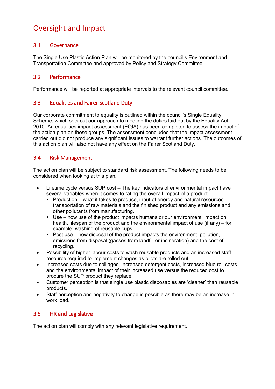## <span id="page-10-0"></span>Oversight and Impact

#### <span id="page-10-1"></span>3.1 Governance

The Single Use Plastic Action Plan will be monitored by the council's Environment and Transportation Committee and approved by Policy and Strategy Committee.

#### <span id="page-10-2"></span>3.2 Performance

Performance will be reported at appropriate intervals to the relevant council committee.

#### <span id="page-10-3"></span>3.3 Equalities and Fairer Scotland Duty

Our corporate commitment to equality is outlined within the council's Single Equality Scheme, which sets out our approach to meeting the duties laid out by the Equality Act 2010. An equalities impact assessment (EQIA) has been completed to assess the impact of the action plan on these groups. The assessment concluded that the impact assessment carried out did not produce any significant issues to warrant further actions. The outcomes of this action plan will also not have any effect on the Fairer Scotland Duty.

#### <span id="page-10-4"></span>3.4 Risk Management

The action plan will be subject to standard risk assessment. The following needs to be considered when looking at this plan.

- Lifetime cycle versus SUP cost The key indicators of environmental impact have several variables when it comes to rating the overall impact of a product.
	- Production what it takes to produce, input of energy and natural resources, transportation of raw materials and the finished product and any emissions and other pollutants from manufacturing.
	- Use how use of the product impacts humans or our environment, impact on health, lifespan of the product and the environmental impact of use (if any) – for example: washing of reusable cups
	- Post use  $-$  how disposal of the product impacts the environment, pollution, emissions from disposal (gasses from landfill or incineration) and the cost of recycling.
- Possibility of higher labour costs to wash reusable products and an increased staff resource required to implement changes as pilots are rolled out.
- Increased costs due to spillages, increased detergent costs, increased blue roll costs and the environmental impact of their increased use versus the reduced cost to procure the SUP product they replace.
- Customer perception is that single use plastic disposables are 'cleaner' than reusable products.
- Staff perception and negativity to change is possible as there may be an increase in work load.

#### <span id="page-10-5"></span>3.5 HR and Legislative

The action plan will comply with any relevant legislative requirement.